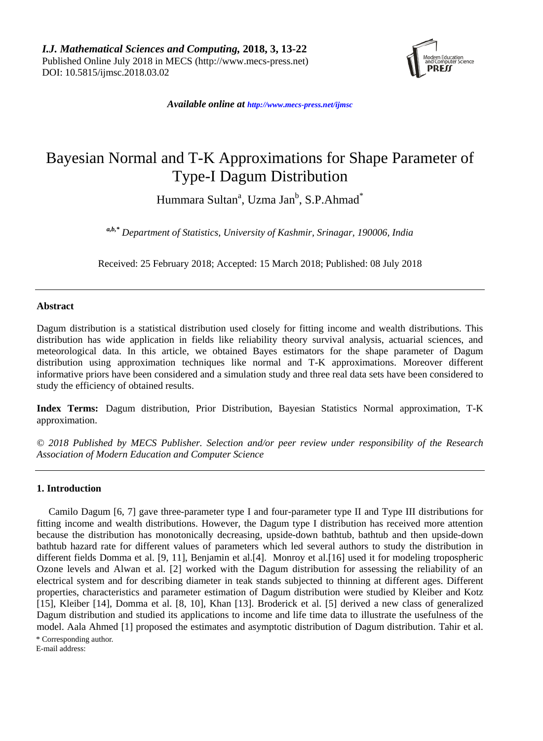

*Available online at [http://www.mecs-press.net/ijm](http://www.mecs-press.net/ijwmt)sc*

# Bayesian Normal and T-K Approximations for Shape Parameter of Type-I Dagum Distribution

Hummara Sultan<sup>a</sup>, Uzma Jan<sup>b</sup>, S.P.Ahmad<sup>\*</sup>

*a,b,\* Department of Statistics, University of Kashmir, Srinagar, 190006, India*

Received: 25 February 2018; Accepted: 15 March 2018; Published: 08 July 2018

## **Abstract**

Dagum distribution is a statistical distribution used closely for fitting income and wealth distributions. This distribution has wide application in fields like reliability theory survival analysis, actuarial sciences, and meteorological data. In this article, we obtained Bayes estimators for the shape parameter of Dagum distribution using approximation techniques like normal and T-K approximations. Moreover different informative priors have been considered and a simulation study and three real data sets have been considered to study the efficiency of obtained results.

**Index Terms:** Dagum distribution, Prior Distribution, Bayesian Statistics Normal approximation, T-K approximation.

*© 2018 Published by MECS Publisher. Selection and/or peer review under responsibility of the Research Association of Modern Education and Computer Science*

#### **1. Introduction**

Camilo Dagum [6, 7] gave three-parameter type I and four-parameter type II and Type III distributions for fitting income and wealth distributions. However, the Dagum type I distribution has received more attention because the distribution has monotonically decreasing, upside-down bathtub, bathtub and then upside-down bathtub hazard rate for different values of parameters which led several authors to study the distribution in different fields Domma et al. [9, 11], Benjamin et al.[4]. Monroy et al.[16] used it for modeling tropospheric Ozone levels and Alwan et al. [2] worked with the Dagum distribution for assessing the reliability of an electrical system and for describing diameter in teak stands subjected to thinning at different ages. Different properties, characteristics and parameter estimation of Dagum distribution were studied by Kleiber and Kotz [15], Kleiber [14], Domma et al. [8, 10], Khan [13]. Broderick et al. [5] derived a new class of generalized Dagum distribution and studied its applications to income and life time data to illustrate the usefulness of the model. Aala Ahmed [1] proposed the estimates and asymptotic distribution of Dagum distribution. Tahir et al.

\* Corresponding author.

E-mail address: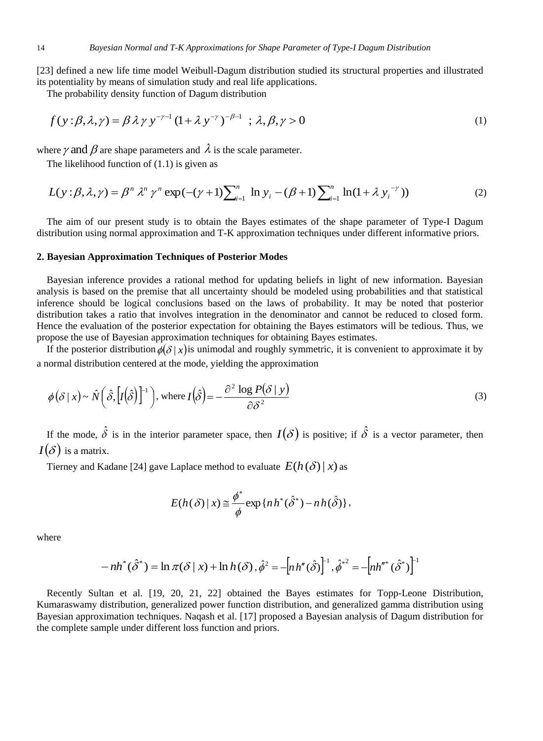[23] defined a new life time model Weibull-Dagum distribution studied its structural properties and illustrated its potentiality by means of simulation study and real life applications.

The probability density function of Dagum distribution

$$
f(y: \beta, \lambda, \gamma) = \beta \lambda \gamma y^{-\gamma - 1} (1 + \lambda y^{-\gamma})^{-\beta - 1} \; ; \, \lambda, \beta, \gamma > 0 \tag{1}
$$

where  $\gamma$  and  $\beta$  are shape parameters and  $\,\lambda$  is the scale parameter.

The likelihood function of (1.1) is given as

$$
L(y: \beta, \lambda, \gamma) = \beta^n \lambda^n \gamma^n \exp(-( \gamma + 1) \sum_{i=1}^n \ln y_i - (\beta + 1) \sum_{i=1}^n \ln(1 + \lambda y_i^{-\gamma}))
$$
 (2)

The aim of our present study is to obtain the Bayes estimates of the shape parameter of Type-I Dagum distribution using normal approximation and T-K approximation techniques under different informative priors.

#### **2. Bayesian Approximation Techniques of Posterior Modes**

Bayesian inference provides a rational method for updating beliefs in light of new information. Bayesian analysis is based on the premise that all uncertainty should be modeled using probabilities and that statistical inference should be logical conclusions based on the laws of probability. It may be noted that posterior distribution takes a ratio that involves integration in the denominator and cannot be reduced to closed form. Hence the evaluation of the posterior expectation for obtaining the Bayes estimators will be tedious. Thus, we propose the use of Bayesian approximation techniques for obtaining Bayes estimates.

If the posterior distribution  $\phi(\delta | x)$  is unimodal and roughly symmetric, it is convenient to approximate it by a normal distribution centered at the mode, yielding the approximation

$$
\phi(\delta \mid x) \sim \hat{N}\left(\hat{\delta}, \left[I(\hat{\delta})\right]^{-1}\right), \text{ where } I(\hat{\delta}) = -\frac{\partial^2 \log P(\delta \mid y)}{\partial \delta^2} \tag{3}
$$

If the mode,  $\hat{\delta}$  is in the interior parameter space, then  $I(\delta)$  is positive; if  $\hat{\delta}$  is a vector parameter, then  $I(\delta)$  is a matrix.

Tierney and Kadane [24] gave Laplace method to evaluate  $E(h(\delta) | x)$  as

$$
E(h(\delta) \mid x) \approx \frac{\phi^*}{\phi} \exp\{nh^*(\hat{\delta}^*) - nh(\hat{\delta})\},\,
$$

where

$$
-nh^{*}(\hat{\delta}^{*}) = \ln \pi(\delta | x) + \ln h(\delta), \hat{\phi}^{2} = -[nh^{*}(\hat{\delta})]^{1}, \hat{\phi}^{*2} = -[nh^{*}(\hat{\delta}^{*})]^{1}
$$

Recently Sultan et al. [19, 20, 21, 22] obtained the Bayes estimates for Topp-Leone Distribution, Kumaraswamy distribution, generalized power function distribution, and generalized gamma distribution using Bayesian approximation techniques. Naqash et al. [17] proposed a Bayesian analysis of Dagum distribution for the complete sample under different loss function and priors.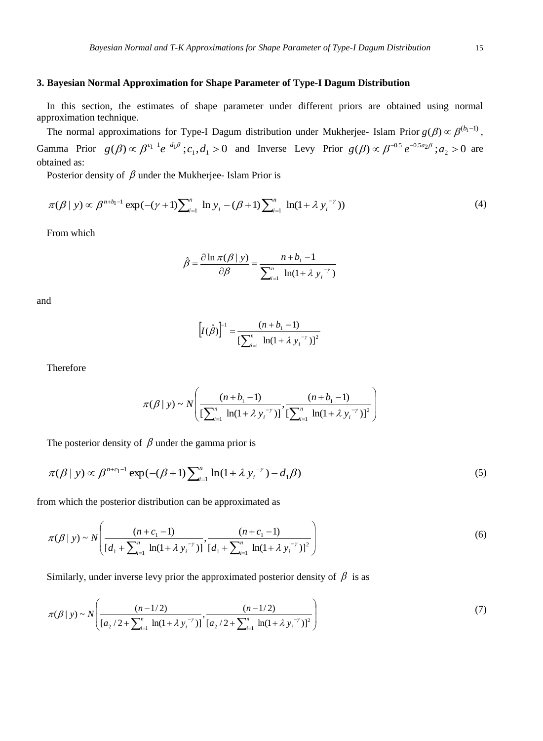# **3. Bayesian Normal Approximation for Shape Parameter of Type-I Dagum Distribution**

In this section, the estimates of shape parameter under different priors are obtained using normal approximation technique.

The normal approximations for Type-I Dagum distribution under Mukherjee- Islam Prior  $g(\beta) \propto \beta^{(b_1-1)}$ , Gamma Prior  $g(\beta) \propto \beta^{c_1-1} e^{-d_1 \beta}$ ;  $c_1, d_1 > 0$  and Inverse Levy Prior  $g(\beta) \propto \beta^{-0.5} e^{-0.5a_2 \beta}$ ;  $a_2 > 0$  are obtained as:

Posterior density of  $\beta$  under the Mukherjee-Islam Prior is

$$
\pi(\beta \mid y) \propto \beta^{n+b_1-1} \exp(-(\gamma+1) \sum_{i=1}^n \ln y_i - (\beta+1) \sum_{i=1}^n \ln(1+\lambda y_i^{-\gamma})) \tag{4}
$$

From which

$$
\hat{\beta} = \frac{\partial \ln \pi(\beta \mid y)}{\partial \beta} = \frac{n + b_1 - 1}{\sum_{i=1}^{n} \ln(1 + \lambda y_i^{-\gamma})}
$$

and

$$
\[I(\hat{\beta})\]^{1} = \frac{(n+b_{1}-1)}{\left[\sum_{i=1}^{n} \ln(1+\lambda y_{i}^{-\gamma})\right]^{2}}
$$

Therefore

$$
\pi(\beta \mid y) \sim N \left( \frac{(n+b_{1}-1)}{\left[\sum_{i=1}^{n} \ln(1+\lambda y_{i}^{-\gamma})\right]}, \frac{(n+b_{1}-1)}{\left[\sum_{i=1}^{n} \ln(1+\lambda y_{i}^{-\gamma})\right]^{2}} \right)
$$

The posterior density of  $\beta$  under the gamma prior is

$$
\pi(\beta \mid y) \propto \beta^{n+c_1-1} \exp(-(\beta+1) \sum_{i=1}^n \ln(1+\lambda y_i^{-\gamma}) - d_1 \beta)
$$
\n(5)

from which the posterior distribution can be approximated as

$$
\pi(\beta \mid y) \sim N\left(\frac{(n+c_1-1)}{[d_1 + \sum_{i=1}^{n} \ln(1+\lambda y_i^{-\gamma})]}, \frac{(n+c_1-1)}{[d_1 + \sum_{i=1}^{n} \ln(1+\lambda y_i^{-\gamma})]^2}\right)
$$
(6)

Similarly, under inverse levy prior the approximated posterior density of  $\beta$  is as

$$
\pi(\beta \mid y) \sim N\left(\frac{(n-1/2)}{\left[a_2/2 + \sum_{i=1}^n \ln(1+\lambda y_i^{-\gamma})\right]}, \frac{(n-1/2)}{\left[a_2/2 + \sum_{i=1}^n \ln(1+\lambda y_i^{-\gamma})\right]^2}\right)
$$
(7)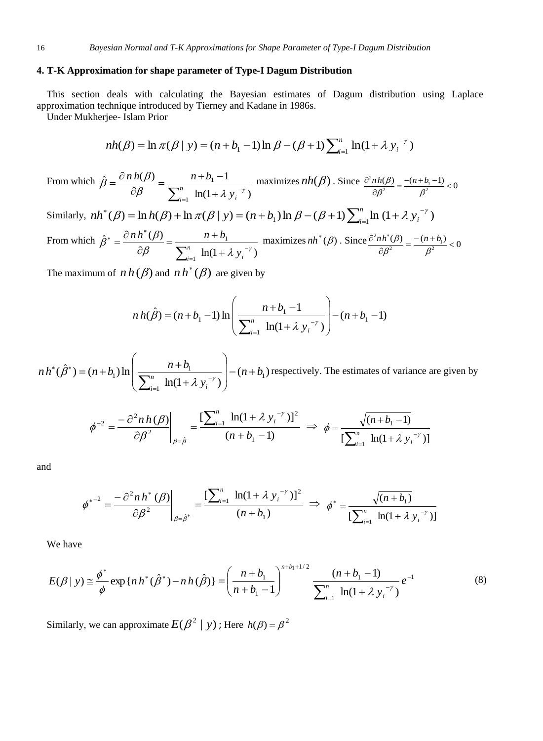## **4. T-K Approximation for shape parameter of Type-I Dagum Distribution**

This section deals with calculating the Bayesian estimates of Dagum distribution using Laplace approximation technique introduced by Tierney and Kadane in 1986s.

Under Mukherjee- Islam Prior

$$
nh(\beta) = \ln \pi(\beta | y) = (n + b_1 - 1) \ln \beta - (\beta + 1) \sum_{i=1}^{n} \ln(1 + \lambda y_i^{-\gamma})
$$

From which  $ln(1 + \lambda y_i^{-\gamma})$  $\hat{g} = \frac{\partial n h(\beta)}{\partial} = \frac{n + b_1 - 1}{\beta}$ 1 1  $\beta$   $\sum_{n=1}^{n}$   $\ln(1+\lambda v)^{-\gamma}$  $\hat{\beta} = \frac{\partial n h(\beta)}{\partial \beta} = \frac{n+b_1-1}{\sum_{n=1}^{n} h(\beta + 1)}$  $\int_{-1}^{1} \ln(1+$  $=\frac{n+b_1-}{b_1-}$  $\partial$  $=\frac{\partial}{\partial x}$  $\sum_{i=1}^{n} \ln(1+\lambda y_i)$  $\int_{i=1}^{n}$  **ln**(1+ $\lambda$  y  $\frac{n h(\beta)}{\beta \beta} = \frac{n + b_1 - 1}{\sum_{n=1}^{n} h(\beta) + \sum_{n=1}^{n} n}$  maximizes  $nh(\beta)$ . Since  $\frac{\partial^2 n h(\beta)}{\partial \beta^2} = \frac{-(n + b_1 - 1)}{\beta^2} < 0$  $\frac{n(\beta)}{\beta^2} = \frac{(n + b_1)}{\beta^2}$  $rac{\partial^2 n h(\beta)}{\partial \beta^2} = \frac{-(n+b_1-1)}{\beta^2} < 0$ 

Similarly,  $nh^*(\beta) = \ln h(\beta) + \ln \pi(\beta | y) = (n + b_1) \ln \beta - (\beta + 1) \sum_{i=1}^n \ln (1 + \lambda y_i^{-\gamma})$  $\overline{a}$  $\pi^*(\beta) = \ln h(\beta) + \ln \pi(\beta | y) = (n + b_1) \ln \beta - (\beta + 1) \sum_{i=1}^n \ln (1 + \lambda y_i)$  $nh^*(\beta) = \ln h(\beta) + \ln \pi(\beta | y) = (n + b_1) \ln \beta - (\beta + 1) \sum_{i=1}^n \ln (1 + \lambda y_i)$ 

From which 
$$
\hat{\beta}^* = \frac{\partial n h^*(\beta)}{\partial \beta} = \frac{n + b_1}{\sum_{i=1}^n \ln(1 + \lambda y_i^{-\gamma})} \text{ maximizes } nh^*(\beta) \text{ . Since } \frac{\partial^2 nh^*(\beta)}{\partial \beta^2} = \frac{-(n + b_1)}{\beta^2} < 0
$$

The maximum of  $n h(\beta)$  and  $n h^*(\beta)$  are given by

$$
n h(\hat{\beta}) = (n + b_1 - 1) \ln \left( \frac{n + b_1 - 1}{\sum_{i=1}^{n} \ln(1 + \lambda y_i^{-\gamma})} \right) - (n + b_1 - 1)
$$

 $(n + b_1)$  $ln(1 + \lambda y_i^{-\gamma})$  $(\hat{\beta}^*) = (n+b_1)\ln\left(\frac{n+b_1}{\sum_{i=1}^n (n_i + b_i)^2}\right) - (n+b_1)\ln\left(\frac{n+b_1}{\sum_{i=1}^n (n_i + b_i)^2}\right)$ 1  $p_1$ ) ln  $\frac{n + b_1}{\sum_{k=1}^n a_k}$  -  $p_2$  -  $n + b_1$ *y*  $nh^*(\hat{\beta}^*) = (n+b_1)\ln\left(\frac{n+b_1}{n}\right)$ *i n i*  $\Big|-(n+$  $\overline{\phantom{a}}$ J  $\backslash$  $\mathsf{I}$  $\mathsf{I}$  $\setminus$ ſ  $\ddot{}$  $=(n+b_1)\ln\left(\frac{n+b_1}{\sum_{n=1}^n (1+a_1)^2}\right)$  $=$ \* ( $\hat{P}$ \*  $\sum_{i=1}^{n} \ln(1 + \lambda y_i^{-\gamma})$  $f(x) = (n+b_1) \ln \left| \frac{n+b_1}{n} \right|$   $-(n+b_1)$  respectively. The estimates of variance are given by

$$
\phi^{-2} = \frac{-\partial^2 n \, h(\beta)}{\partial \beta^2} \bigg|_{\beta = \hat{\beta}} = \frac{\left[\sum_{i=1}^n \ln(1 + \lambda y_i^{-\gamma})\right]^2}{\left(n + b_1 - 1\right)} \implies \phi = \frac{\sqrt{\left(n + b_1 - 1\right)}}{\left[\sum_{i=1}^n \ln(1 + \lambda y_i^{-\gamma})\right]}
$$

and

$$
{\phi^*}^{-2} = \frac{-\partial^2 n \, h^* \left(\beta\right)}{\partial \beta^2} \Bigg|_{\beta = \hat{\beta}^*} = \frac{\left[\sum_{i=1}^n \ln(1 + \lambda \, y_i^{-\gamma})\right]^2}{\left(n + b_1\right)} \implies \phi^* = \frac{\sqrt{(n + b_1)}}{\left[\sum_{i=1}^n \ln(1 + \lambda \, y_i^{-\gamma})\right]}
$$

We have

$$
E(\beta \mid y) \cong \frac{\phi^*}{\phi} \exp\{nh^*(\hat{\beta}^*) - nh(\hat{\beta})\} = \left(\frac{n+b_1}{n+b_1-1}\right)^{n+b_1+1/2} \frac{(n+b_1-1)}{\sum_{i=1}^n \ln(1+\lambda y_i^{-\gamma})} e^{-1}
$$
(8)

Similarly, we can approximate  $E(\beta^2 | y)$ ; Here  $h(\beta) = \beta^2$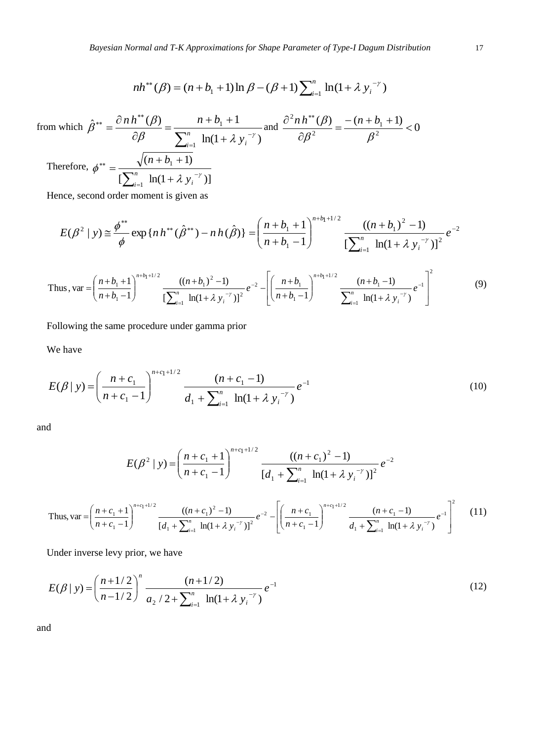$$
nh^{**}(\beta) = (n+b_1+1)\ln \beta - (\beta+1)\sum_{i=1}^n \ln(1+\lambda y_i^{-\gamma})
$$

2

from which 
$$
\hat{\beta}^{**} = \frac{\partial n h^{**}(\beta)}{\partial \beta} = \frac{n + b_1 + 1}{\sum_{i=1}^n \ln(1 + \lambda y_i^{-\gamma})}
$$
 and  $\frac{\partial^2 n h^{**}(\beta)}{\partial \beta^2} = \frac{-(n + b_1 + 1)}{\beta^2} < 0$   
\nTherefore,  $\phi^{**} = \frac{\sqrt{(n + b_1 + 1)}}{[\sum_{i=1}^n \ln(1 + \lambda y_i^{-\gamma})]}$ 

Hence, second order moment is given as

$$
E(\beta^2 \mid y) \cong \frac{\phi^{**}}{\phi} \exp\{n\,h^{**}(\hat{\beta}^{**}) - n\,h(\hat{\beta})\} = \left(\frac{n+b_1+1}{n+b_1-1}\right)^{n+b_1+1/2} \frac{((n+b_1)^2-1)}{\left[\sum_{i=1}^n \ln(1+\lambda y_i^{-\gamma})\right]^2}e^{-2}
$$

Thus, 
$$
\operatorname{var} = \left(\frac{n+b_1+1}{n+b_1-1}\right)^{n+b_1+1/2} \frac{\left((n+b_1)^2-1\right)}{\left[\sum_{i=1}^n \ln(1+\lambda y_i^{-\gamma})\right]^2} e^{-2} - \left[\left(\frac{n+b_1}{n+b_1-1}\right)^{n+b_1+1/2} \frac{(n+b_1-1)}{\sum_{i=1}^n \ln(1+\lambda y_i^{-\gamma})} e^{-1}\right]^2
$$
 (9)

Following the same procedure under gamma prior

We have

$$
E(\beta \mid y) = \left(\frac{n + c_1}{n + c_1 - 1}\right)^{n + c_1 + 1/2} \frac{(n + c_1 - 1)}{d_1 + \sum_{i=1}^n \ln(1 + \lambda y_i^{-\gamma})} e^{-1}
$$
(10)

and

$$
E(\beta^2 \mid y) = \left(\frac{n + c_1 + 1}{n + c_1 - 1}\right)^{n + c_1 + 1/2} \frac{\left((n + c_1)^2 - 1\right)}{\left[d_1 + \sum_{i=1}^n \ln(1 + \lambda y_i^{-\gamma})\right]^2} e^{-2}
$$
  
\nThus,  $\text{var} = \left(\frac{n + c_1 + 1}{n + c_1 - 1}\right)^{n + c_1 + 1/2} \frac{\left((n + c_1)^2 - 1\right)}{\left[d_1 + \sum_{i=1}^n \ln(1 + \lambda y_i^{-\gamma})\right]^2} e^{-2} - \left[\left(\frac{n + c_1}{n + c_1 - 1}\right)^{n + c_1 + 1/2} \frac{\left(n + c_1 - 1\right)}{d_1 + \sum_{i=1}^n \ln(1 + \lambda y_i^{-\gamma})} e^{-1}\right]^2$  (11)

*i i*

 $=$ 

Under inverse levy prior, we have

$$
E(\beta \mid y) = \left(\frac{n+1/2}{n-1/2}\right)^n \frac{(n+1/2)}{a_2/2 + \sum_{i=1}^n \ln(1+\lambda y_i^{-\gamma})} e^{-1}
$$
 (12)

and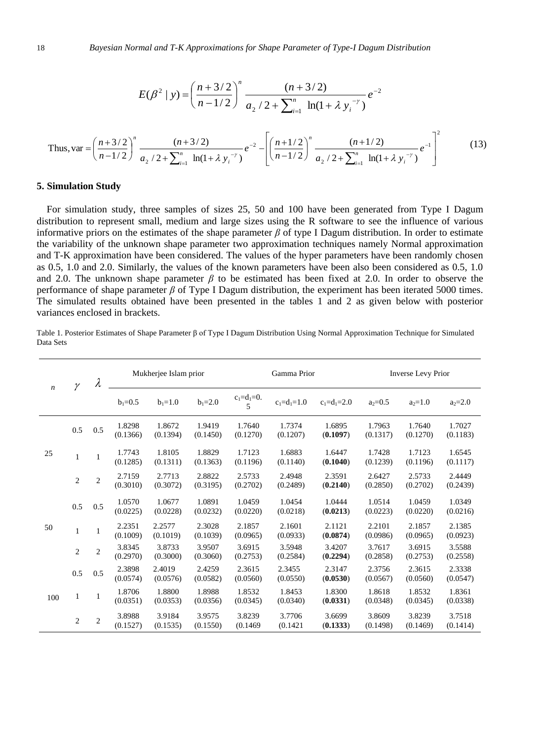$$
E(\beta^2 \mid y) = \left(\frac{n+3/2}{n-1/2}\right)^n \frac{(n+3/2)}{a_2/2 + \sum_{i=1}^n \ln(1+\lambda y_i^{-\gamma})} e^{-2}
$$
  
\nThus,  $\text{var} = \left(\frac{n+3/2}{n-1/2}\right)^n \frac{(n+3/2)}{a_2/2 + \sum_{i=1}^n \ln(1+\lambda y_i^{-\gamma})} e^{-2} - \left[\left(\frac{n+1/2}{n-1/2}\right)^n \frac{(n+1/2)}{a_2/2 + \sum_{i=1}^n \ln(1+\lambda y_i^{-\gamma})} e^{-1}\right]^2$  (13)

#### **5. Simulation Study**

For simulation study, three samples of sizes 25, 50 and 100 have been generated from Type I Dagum distribution to represent small, medium and large sizes using the R software to see the influence of various informative priors on the estimates of the shape parameter *β* of type I Dagum distribution. In order to estimate the variability of the unknown shape parameter two approximation techniques namely Normal approximation and T-K approximation have been considered. The values of the hyper parameters have been randomly chosen as 0.5, 1.0 and 2.0. Similarly, the values of the known parameters have been also been considered as 0.5, 1.0 and 2.0. The unknown shape parameter  $\beta$  to be estimated has been fixed at 2.0. In order to observe the performance of shape parameter *β* of Type I Dagum distribution, the experiment has been iterated 5000 times. The simulated results obtained have been presented in the tables 1 and 2 as given below with posterior variances enclosed in brackets.

Table 1. Posterior Estimates of Shape Parameter β of Type I Dagum Distribution Using Normal Approximation Technique for Simulated Data Sets

| $\boldsymbol{n}$ | $\gamma$       | λ              | Mukherjee Islam prior |                    |                    | Gamma Prior           |                    |                    | <b>Inverse Levy Prior</b> |                    |                    |
|------------------|----------------|----------------|-----------------------|--------------------|--------------------|-----------------------|--------------------|--------------------|---------------------------|--------------------|--------------------|
|                  |                |                | $b_1 = 0.5$           | $b_1 = 1.0$        | $b_1 = 2.0$        | $c_1 = d_1 = 0.$<br>5 | $c_1 = d_1 = 1.0$  | $c_1 = d_1 = 2.0$  | $a_2=0.5$                 | $a_2=1.0$          | $a_2 = 2.0$        |
| 25               | 0.5            | 0.5            | 1.8298<br>(0.1366)    | 1.8672<br>(0.1394) | 1.9419<br>(0.1450) | 1.7640<br>(0.1270)    | 1.7374<br>(0.1207) | 1.6895<br>(0.1097) | 1.7963<br>(0.1317)        | 1.7640<br>(0.1270) | 1.7027<br>(0.1183) |
|                  | $\mathbf{1}$   | $\mathbf{1}$   | 1.7743<br>(0.1285)    | 1.8105<br>(0.1311) | 1.8829<br>(0.1363) | 1.7123<br>(0.1196)    | 1.6883<br>(0.1140) | 1.6447<br>(0.1040) | 1.7428<br>(0.1239)        | 1.7123<br>(0.1196) | 1.6545<br>(0.1117) |
|                  | $\overline{c}$ | 2              | 2.7159<br>(0.3010)    | 2.7713<br>(0.3072) | 2.8822<br>(0.3195) | 2.5733<br>(0.2702)    | 2.4948<br>(0.2489) | 2.3591<br>(0.2140) | 2.6427<br>(0.2850)        | 2.5733<br>(0.2702) | 2.4449<br>(0.2439) |
| 50               | 0.5            | 0.5            | 1.0570<br>(0.0225)    | 1.0677<br>(0.0228) | 1.0891<br>(0.0232) | 1.0459<br>(0.0220)    | 1.0454<br>(0.0218) | 1.0444<br>(0.0213) | 1.0514<br>(0.0223)        | 1.0459<br>(0.0220) | 1.0349<br>(0.0216) |
|                  | $\mathbf{1}$   | 1              | 2.2351<br>(0.1009)    | 2.2577<br>(0.1019) | 2.3028<br>(0.1039) | 2.1857<br>(0.0965)    | 2.1601<br>(0.0933) | 2.1121<br>(0.0874) | 2.2101<br>(0.0986)        | 2.1857<br>(0.0965) | 2.1385<br>(0.0923) |
|                  | $\overline{c}$ | $\mathbf{2}$   | 3.8345<br>(0.2970)    | 3.8733<br>(0.3000) | 3.9507<br>(0.3060) | 3.6915<br>(0.2753)    | 3.5948<br>(0.2584) | 3.4207<br>(0.2294) | 3.7617<br>(0.2858)        | 3.6915<br>(0.2753) | 3.5588<br>(0.2558) |
| 100              | 0.5            | 0.5            | 2.3898<br>(0.0574)    | 2.4019<br>(0.0576) | 2.4259<br>(0.0582) | 2.3615<br>(0.0560)    | 2.3455<br>(0.0550) | 2.3147<br>(0.0530) | 2.3756<br>(0.0567)        | 2.3615<br>(0.0560) | 2.3338<br>(0.0547) |
|                  | $\mathbf{1}$   | 1              | 1.8706<br>(0.0351)    | 1.8800<br>(0.0353) | 1.8988<br>(0.0356) | 1.8532<br>(0.0345)    | 1.8453<br>(0.0340) | 1.8300<br>(0.0331) | 1.8618<br>(0.0348)        | 1.8532<br>(0.0345) | 1.8361<br>(0.0338) |
|                  | $\overline{c}$ | $\overline{2}$ | 3.8988<br>(0.1527)    | 3.9184<br>(0.1535) | 3.9575<br>(0.1550) | 3.8239<br>(0.1469)    | 3.7706<br>(0.1421) | 3.6699<br>(0.1333) | 3.8609<br>(0.1498)        | 3.8239<br>(0.1469) | 3.7518<br>(0.1414) |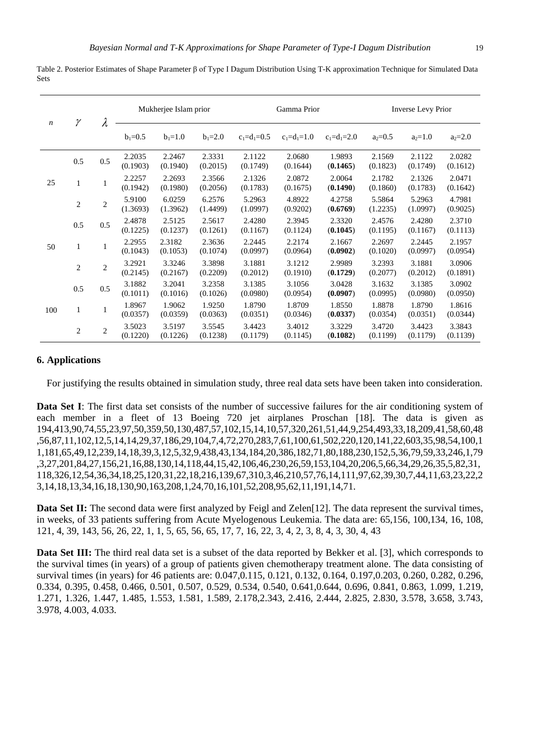Table 2. Posterior Estimates of Shape Parameter β of Type I Dagum Distribution Using T-K approximation Technique for Simulated Data Sets

| $\boldsymbol{n}$ | γ              | λ              | Mukherjee Islam prior |                    |                    | Gamma Prior        |                    |                    | <b>Inverse Levy Prior</b> |                    |                    |
|------------------|----------------|----------------|-----------------------|--------------------|--------------------|--------------------|--------------------|--------------------|---------------------------|--------------------|--------------------|
|                  |                |                | $b_1 = 0.5$           | $b_1 = 1.0$        | $b_1 = 2.0$        | $c_1 = d_1 = 0.5$  | $c_1 = d_1 = 1.0$  | $c_1 = d_1 = 2.0$  | $a_2 = 0.5$               | $a_2=1.0$          | $a_2 = 2.0$        |
| 25               | 0.5            | 0.5            | 2.2035<br>(0.1903)    | 2.2467<br>(0.1940) | 2.3331<br>(0.2015) | 2.1122<br>(0.1749) | 2.0680<br>(0.1644) | 1.9893<br>(0.1465) | 2.1569<br>(0.1823)        | 2.1122<br>(0.1749) | 2.0282<br>(0.1612) |
|                  | $\mathbf{1}$   |                | 2.2257<br>(0.1942)    | 2.2693<br>(0.1980) | 2.3566<br>(0.2056) | 2.1326<br>(0.1783) | 2.0872<br>(0.1675) | 2.0064<br>(0.1490) | 2.1782<br>(0.1860)        | 2.1326<br>(0.1783) | 2.0471<br>(0.1642) |
|                  | $\overline{c}$ | $\overline{c}$ | 5.9100<br>(1.3693)    | 6.0259<br>(1.3962) | 6.2576<br>(1.4499) | 5.2963<br>(1.0997) | 4.8922<br>(0.9202) | 4.2758<br>(0.6769) | 5.5864<br>(1.2235)        | 5.2963<br>(1.0997) | 4.7981<br>(0.9025) |
| 50               | 0.5            | 0.5            | 2.4878<br>(0.1225)    | 2.5125<br>(0.1237) | 2.5617<br>(0.1261) | 2.4280<br>(0.1167) | 2.3945<br>(0.1124) | 2.3320<br>(0.1045) | 2.4576<br>(0.1195)        | 2.4280<br>(0.1167) | 2.3710<br>(0.1113) |
|                  | $\mathbf{1}$   |                | 2.2955<br>(0.1043)    | 2.3182<br>(0.1053) | 2.3636<br>(0.1074) | 2.2445<br>(0.0997) | 2.2174<br>(0.0964) | 2.1667<br>(0.0902) | 2.2697<br>(0.1020)        | 2.2445<br>(0.0997) | 2.1957<br>(0.0954) |
|                  | 2              | $\overline{c}$ | 3.2921<br>(0.2145)    | 3.3246<br>(0.2167) | 3.3898<br>(0.2209) | 3.1881<br>(0.2012) | 3.1212<br>(0.1910) | 2.9989<br>(0.1729) | 3.2393<br>(0.2077)        | 3.1881<br>(0.2012) | 3.0906<br>(0.1891) |
| 100              | 0.5            | 0.5            | 3.1882<br>(0.1011)    | 3.2041<br>(0.1016) | 3.2358<br>(0.1026) | 3.1385<br>(0.0980) | 3.1056<br>(0.0954) | 3.0428<br>(0.0907) | 3.1632<br>(0.0995)        | 3.1385<br>(0.0980) | 3.0902<br>(0.0950) |
|                  | $\mathbf{1}$   | 1              | 1.8967<br>(0.0357)    | 1.9062<br>(0.0359) | 1.9250<br>(0.0363) | 1.8790<br>(0.0351) | 1.8709<br>(0.0346) | 1.8550<br>(0.0337) | 1.8878<br>(0.0354)        | 1.8790<br>(0.0351) | 1.8616<br>(0.0344) |
|                  | $\overline{c}$ | $\overline{c}$ | 3.5023<br>(0.1220)    | 3.5197<br>(0.1226) | 3.5545<br>(0.1238) | 3.4423<br>(0.1179) | 3.4012<br>(0.1145) | 3.3229<br>(0.1082) | 3.4720<br>(0.1199)        | 3.4423<br>(0.1179) | 3.3843<br>(0.1139) |

#### **6. Applications**

For justifying the results obtained in simulation study, three real data sets have been taken into consideration.

**Data Set I**: The first data set consists of the number of successive failures for the air conditioning system of each member in a fleet of 13 Boeing 720 jet airplanes Proschan [18]. The data is given as 194,413,90,74,55,23,97,50,359,50,130,487,57,102,15,14,10,57,320,261,51,44,9,254,493,33,18,209,41,58,60,48 ,56,87,11,102,12,5,14,14,29,37,186,29,104,7,4,72,270,283,7,61,100,61,502,220,120,141,22,603,35,98,54,100,1 1,181,65,49,12,239,14,18,39,3,12,5,32,9,438,43,134,184,20,386,182,71,80,188,230,152,5,36,79,59,33,246,1,79 ,3,27,201,84,27,156,21,16,88,130,14,118,44,15,42,106,46,230,26,59,153,104,20,206,5,66,34,29,26,35,5,82,31, 118,326,12,54,36,34,18,25,120,31,22,18,216,139,67,310,3,46,210,57,76,14,111,97,62,39,30,7,44,11,63,23,22,2 3,14,18,13,34,16,18,130,90,163,208,1,24,70,16,101,52,208,95,62,11,191,14,71.

**Data Set II:** The second data were first analyzed by Feigl and Zelen[12]. The data represent the survival times, in weeks, of 33 patients suffering from Acute Myelogenous Leukemia. The data are: 65,156, 100,134, 16, 108, 121, 4, 39, 143, 56, 26, 22, 1, 1, 5, 65, 56, 65, 17, 7, 16, 22, 3, 4, 2, 3, 8, 4, 3, 30, 4, 43

**Data Set III:** The third real data set is a subset of the data reported by Bekker et al. [3], which corresponds to the survival times (in years) of a group of patients given chemotherapy treatment alone. The data consisting of survival times (in years) for 46 patients are: 0.047,0.115, 0.121, 0.132, 0.164, 0.197,0.203, 0.260, 0.282, 0.296, 0.334, 0.395, 0.458, 0.466, 0.501, 0.507, 0.529, 0.534, 0.540, 0.641,0.644, 0.696, 0.841, 0.863, 1.099, 1.219, 1.271, 1.326, 1.447, 1.485, 1.553, 1.581, 1.589, 2.178,2.343, 2.416, 2.444, 2.825, 2.830, 3.578, 3.658, 3.743, 3.978, 4.003, 4.033.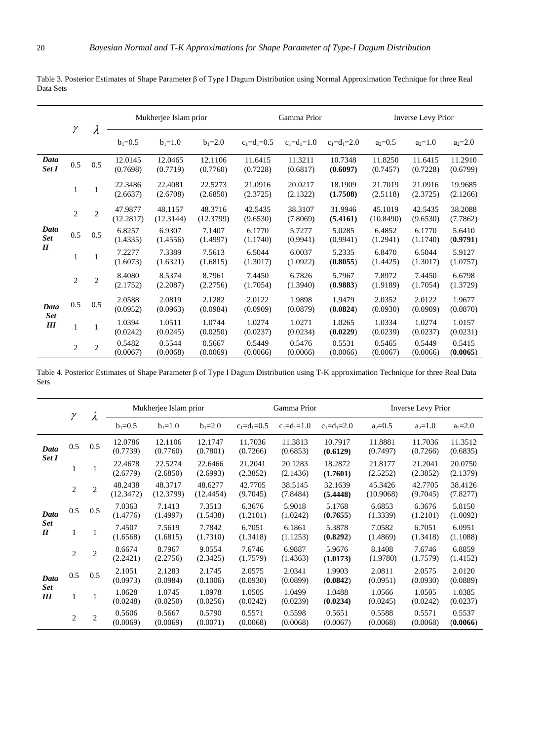2 2

1 1

2 2

1 1

2 2

 $0.5$   $0.5$   $0.5$   $0.42257$ 

 $0.5$  0.5  $^{2.0588}_{0.0052}$ 

*Data Set II*

*Data Set III*

47.9877 (12.2817)

(1.4335)

7.2277 (1.6073)

8.4080 (2.1752)

(0.0952)

1.0394 (0.0242)

0.5482 (0.0067)

48.1157 (12.3144)

6.9307 (1.4556)

7.3389 (1.6321)

8.5374 (2.2087)

2.0819 (0.0963)

1.0511 (0.0245)

0.5544 (0.0068)

48.3716 (12.3799)

7.1407 (1.4997)

7.5613 (1.6815)

8.7961 (2.2756)

2.1282 (0.0984)

1.0744 (0.0250)

0.5667 (0.0069)

|               |               |     | Mukherjee Islam prior |                     |                     | Gamma Prior         |                     |                     | Inverse Levy Prior  |                     |                     |
|---------------|---------------|-----|-----------------------|---------------------|---------------------|---------------------|---------------------|---------------------|---------------------|---------------------|---------------------|
|               |               |     | $b_1 = 0.5$           | $b_1 = 1.0$         | $b_1 = 2.0$         | $c_1 = d_1 = 0.5$   | $c_1 = d_1 = 1.0$   | $c_1 = d_1 = 2.0$   | $a_2 = 0.5$         | $a_2=1.0$           | $a_2 = 2.0$         |
| Data<br>Set I | $0.5^{\circ}$ | 0.5 | 12.0145<br>(0.7698)   | 12.0465<br>(0.7719) | 12.1106<br>(0.7760) | 11.6415<br>(0.7228) | 11.3211<br>(0.6817) | 10.7348<br>(0.6097) | 11.8250<br>(0.7457) | 11.6415<br>(0.7228) | 11.2910<br>(0.6799) |
|               |               |     | 22.3486<br>(2.6637)   | 22.4081<br>(2.6708) | 22.5273<br>(2.6850) | 21.0916<br>(2.3725) | 20.0217<br>(2.1322) | 18.1909<br>(1.7508) | 21.7019<br>(2.5118) | 21.0916<br>(2.3725) | 19.9685<br>(2.1266) |

42.5435 (9.6530)

6.1770 (1.1740)

6.5044 (1.3017)

7.4450 (1.7054)

2.0122 (0.0909)

1.0274 (0.0237)

0.5449 (0.0066)

38.3107 (7.8069)

5.7277 (0.9941)

6.0037 (1.0922)

6.7826 (1.3940)

1.9898 (0.0879)

1.0271 (0.0234)

0.5476 (0.0066)

31.9946 **(5.4161)**

5.0285 (0.9941)

5.2335 (**0.8055**)

5.7967 (**0.9883**)

1.9479 (**0.0824**)

1.0265 (**0.0229**)

0.5531 (0.0066)

45.1019 (10.8490)

6.4852 (1.2941)

6.8470 (1.4425)

7.8972 (1.9189)

2.0352 (0.0930)

1.0334 (0.0239)

0.5465 (0.0067)

42.5435 (9.6530)

6.1770 (1.1740)

6.5044 (1.3017)

7.4450 (1.7054)

2.0122 (0.0909)

1.0274 (0.0237)

0.5449 (0.0066) 38.2088 (7.7862)

5.6410 (**0.9791**)

5.9127 (1.0757)

6.6798 (1.3729)

1.9677 (0.0870)

1.0157 (0.0231)

0.5415 (**0.0065**)

Table 3. Posterior Estimates of Shape Parameter β of Type I Dagum Distribution using Normal Approximation Technique for three Real Data Sets

Table 4. Posterior Estimates of Shape Parameter β of Type I Dagum Distribution using T-K approximation Technique for three Real Data Sets

|                           | γ              | λ              | Mukherjee Islam prior |                      |                      | Gamma Prior         |                     |                     | <b>Inverse Levy Prior</b> |                     |                     |
|---------------------------|----------------|----------------|-----------------------|----------------------|----------------------|---------------------|---------------------|---------------------|---------------------------|---------------------|---------------------|
|                           |                |                | $b_1 = 0.5$           | $b_1 = 1.0$          | $b_1 = 2.0$          | $c_1 = d_1 = 0.5$   | $c_1 = d_1 = 1.0$   | $c_1 = d_1 = 2.0$   | $a_2 = 0.5$               | $a_2=1.0$           | $a_2 = 2.0$         |
| Data                      | 0.5            | 0.5            | 12.0786<br>(0.7739)   | 12.1106<br>(0.7760)  | 12.1747<br>(0.7801)  | 11.7036<br>(0.7266) | 11.3813<br>(0.6853) | 10.7917<br>(0.6129) | 11.8881<br>(0.7497)       | 11.7036<br>(0.7266) | 11.3512<br>(0.6835) |
| Set I                     | 1              | 1              | 22.4678<br>(2.6779)   | 22.5274<br>(2.6850)  | 22.6466<br>(2.6993)  | 21.2041<br>(2.3852) | 20.1283<br>(2.1436) | 18.2872<br>(1.7601) | 21.8177<br>(2.5252)       | 21.2041<br>(2.3852) | 20.0750<br>(2.1379) |
|                           | 2              | $\overline{c}$ | 48.2438<br>(12.3472)  | 48.3717<br>(12.3799) | 48.6277<br>(12.4454) | 42.7705<br>(9.7045) | 38.5145<br>(7.8484) | 32.1639<br>(5.4448) | 45.3426<br>(10.9068)      | 42.7705<br>(9.7045) | 38.4126<br>(7.8277) |
| Data<br><b>Set</b><br>II  | 0.5            | 0.5            | 7.0363<br>(1.4776)    | 7.1413<br>(1.4997)   | 7.3513<br>(1.5438)   | 6.3676<br>(1.2101)  | 5.9018<br>(1.0242)  | 5.1768<br>(0.7655)  | 6.6853<br>(1.3339)        | 6.3676<br>(1.2101)  | 5.8150<br>(1.0092)  |
|                           | 1              | 1              | 7.4507<br>(1.6568)    | 7.5619<br>(1.6815)   | 7.7842<br>(1.7310)   | 6.7051<br>(1.3418)  | 6.1861<br>(1.1253)  | 5.3878<br>(0.8292)  | 7.0582<br>(1.4869)        | 6.7051<br>(1.3418)  | 6.0951<br>(1.1088)  |
|                           | 2              | $\overline{c}$ | 8.6674<br>(2.2421)    | 8.7967<br>(2.2756)   | 9.0554<br>(2.3425)   | 7.6746<br>(1.7579)  | 6.9887<br>(1.4363)  | 5.9676<br>(1.0173)  | 8.1408<br>(1.9780)        | 7.6746<br>(1.7579)  | 6.8859<br>(1.4152)  |
| Data<br><b>Set</b><br>III | 0.5            | 0.5            | 2.1051<br>(0.0973)    | 2.1283<br>(0.0984)   | 2.1745<br>(0.1006)   | 2.0575<br>(0.0930)  | 2.0341<br>(0.0899)  | 1.9903<br>(0.0842)  | 2.0811<br>(0.0951)        | 2.0575<br>(0.0930)  | 2.0120<br>(0.0889)  |
|                           | 1              |                | 1.0628<br>(0.0248)    | 1.0745<br>(0.0250)   | 1.0978<br>(0.0256)   | 1.0505<br>(0.0242)  | 1.0499<br>(0.0239)  | 1.0488<br>(0.0234)  | 1.0566<br>(0.0245)        | 1.0505<br>(0.0242)  | 1.0385<br>(0.0237)  |
|                           | $\overline{2}$ | $\overline{c}$ | 0.5606<br>(0.0069)    | 0.5667<br>(0.0069)   | 0.5790<br>(0.0071)   | 0.5571<br>(0.0068)  | 0.5598<br>(0.0068)  | 0.5651<br>(0.0067)  | 0.5588<br>(0.0068)        | 0.5571<br>(0.0068)  | 0.5537<br>(0.0066)  |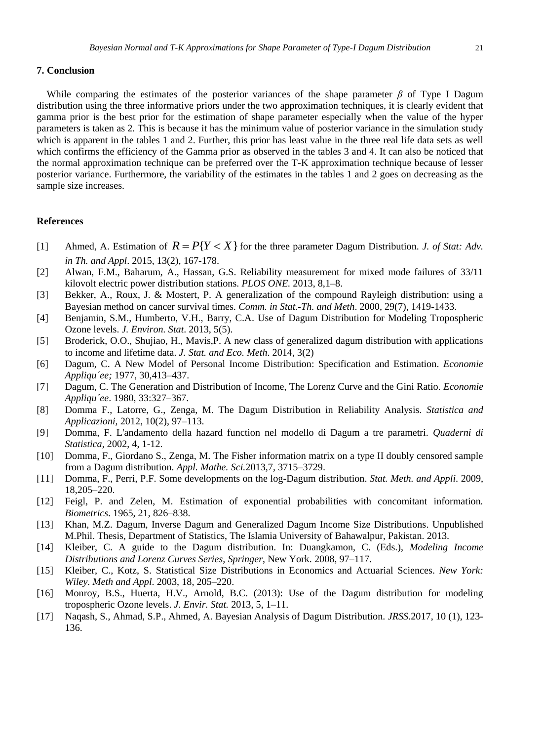#### **7. Conclusion**

While comparing the estimates of the posterior variances of the shape parameter  $\beta$  of Type I Dagum distribution using the three informative priors under the two approximation techniques, it is clearly evident that gamma prior is the best prior for the estimation of shape parameter especially when the value of the hyper parameters is taken as 2. This is because it has the minimum value of posterior variance in the simulation study which is apparent in the tables 1 and 2. Further, this prior has least value in the three real life data sets as well which confirms the efficiency of the Gamma prior as observed in the tables 3 and 4. It can also be noticed that the normal approximation technique can be preferred over the T-K approximation technique because of lesser posterior variance. Furthermore, the variability of the estimates in the tables 1 and 2 goes on decreasing as the sample size increases.

# **References**

- [1] Ahmed, A. Estimation of  $R = P(Y < X)$  for the three parameter Dagum Distribution. *J. of Stat: Adv. in Th. and Appl*. 2015, 13(2), 167-178.
- [2] Alwan, F.M., Baharum, A., Hassan, G.S. Reliability measurement for mixed mode failures of 33/11 kilovolt electric power distribution stations. *PLOS ONE.* 2013, 8,1–8.
- [3] Bekker, A., Roux, J. & Mostert, P. A generalization of the compound Rayleigh distribution: using a Bayesian method on cancer survival times. *Comm. in Stat.-Th. and Meth*. 2000, 29(7), 1419-1433.
- [4] Benjamin, S.M., Humberto, V.H., Barry, C.A. Use of Dagum Distribution for Modeling Tropospheric Ozone levels. *J. Environ. Stat*. 2013, 5(5).
- [5] Broderick, O.O., Shujiao, H., Mavis,P. A new class of generalized dagum distribution with applications to income and lifetime data. *J. Stat. and Eco. Meth*. 2014, 3(2)
- [6] Dagum, C. A New Model of Personal Income Distribution: Specification and Estimation. *Economie Appliqu´ee;* 1977, 30,413–437.
- [7] Dagum, C. The Generation and Distribution of Income, The Lorenz Curve and the Gini Ratio. *Economie Appliqu´ee*. 1980, 33:327–367.
- [8] Domma F., Latorre, G., Zenga, M. The Dagum Distribution in Reliability Analysis. *Statistica and Applicazioni*, 2012, 10(2), 97–113.
- [9] Domma, F. L'andamento della hazard function nel modello di Dagum a tre parametri. *Quaderni di Statistica,* 2002, 4, 1-12.
- [10] Domma, F., Giordano S., Zenga, M. The Fisher information matrix on a type II doubly censored sample from a Dagum distribution. *Appl. Mathe. Sci.*2013*,*7, 3715–3729.
- [11] Domma, F., Perri, P.F. Some developments on the log-Dagum distribution. *Stat. Meth. and Appli*. 2009, 18,205–220.
- [12] Feigl, P. and Zelen, M. Estimation of exponential probabilities with concomitant information*. Biometrics*. 1965, 21, 826–838.
- [13] Khan, M.Z. Dagum, Inverse Dagum and Generalized Dagum Income Size Distributions. Unpublished M.Phil. Thesis, Department of Statistics, The Islamia University of Bahawalpur, Pakistan. 2013.
- [14] Kleiber, C. A guide to the Dagum distribution. In: Duangkamon, C. (Eds.), *Modeling Income Distributions and Lorenz Curves Series, Springer*, New York. 2008, 97–117.
- [15] Kleiber, C., Kotz, S. Statistical Size Distributions in Economics and Actuarial Sciences. *New York: Wiley. Meth and Appl*. 2003, 18, 205–220.
- [16] Monroy, B.S., Huerta, H.V., Arnold, B.C. (2013): Use of the Dagum distribution for modeling tropospheric Ozone levels. *J. Envir. Stat.* 2013, 5, 1–11.
- [17] Naqash, S., Ahmad, S.P., Ahmed, A. Bayesian Analysis of Dagum Distribution. *JRSS*.2017, 10 (1), 123- 136.